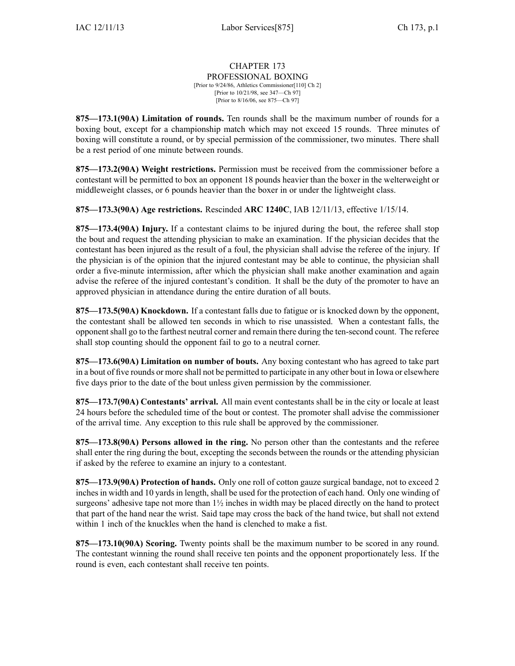## CHAPTER 173 PROFESSIONAL BOXING [Prior to 9/24/86, Athletics Commissioner[110] Ch 2] [Prior to 10/21/98, see 347—Ch 97] [Prior to 8/16/06, see 875—Ch 97]

**875—173.1(90A) Limitation of rounds.** Ten rounds shall be the maximum number of rounds for <sup>a</sup> boxing bout, excep<sup>t</sup> for <sup>a</sup> championship match which may not exceed 15 rounds. Three minutes of boxing will constitute <sup>a</sup> round, or by special permission of the commissioner, two minutes. There shall be <sup>a</sup> rest period of one minute between rounds.

**875—173.2(90A) Weight restrictions.** Permission must be received from the commissioner before <sup>a</sup> contestant will be permitted to box an opponen<sup>t</sup> 18 pounds heavier than the boxer in the welterweight or middleweight classes, or 6 pounds heavier than the boxer in or under the lightweight class.

**875—173.3(90A) Age restrictions.** Rescinded **ARC 1240C**, IAB 12/11/13, effective 1/15/14.

**875—173.4(90A) Injury.** If <sup>a</sup> contestant claims to be injured during the bout, the referee shall stop the bout and reques<sup>t</sup> the attending physician to make an examination. If the physician decides that the contestant has been injured as the result of <sup>a</sup> foul, the physician shall advise the referee of the injury. If the physician is of the opinion that the injured contestant may be able to continue, the physician shall order <sup>a</sup> five-minute intermission, after which the physician shall make another examination and again advise the referee of the injured contestant's condition. It shall be the duty of the promoter to have an approved physician in attendance during the entire duration of all bouts.

**875—173.5(90A) Knockdown.** If <sup>a</sup> contestant falls due to fatigue or is knocked down by the opponent, the contestant shall be allowed ten seconds in which to rise unassisted. When <sup>a</sup> contestant falls, the opponentshall go to the farthest neutral corner and remain there during the ten-second count. The referee shall stop counting should the opponen<sup>t</sup> fail to go to <sup>a</sup> neutral corner.

**875—173.6(90A) Limitation on number of bouts.** Any boxing contestant who has agreed to take par<sup>t</sup> in <sup>a</sup> bout of five rounds or more shall not be permitted to participate in any other bout in Iowa or elsewhere five days prior to the date of the bout unless given permission by the commissioner.

**875—173.7(90A) Contestants' arrival.** All main event contestants shall be in the city or locale at least 24 hours before the scheduled time of the bout or contest. The promoter shall advise the commissioner of the arrival time. Any exception to this rule shall be approved by the commissioner.

**875—173.8(90A) Persons allowed in the ring.** No person other than the contestants and the referee shall enter the ring during the bout, excepting the seconds between the rounds or the attending physician if asked by the referee to examine an injury to <sup>a</sup> contestant.

**875—173.9(90A) Protection of hands.** Only one roll of cotton gauze surgical bandage, not to exceed 2 inches in width and 10 yards in length, shall be used for the protection of each hand. Only one winding of surgeons' adhesive tape not more than  $1\frac{1}{2}$  inches in width may be placed directly on the hand to protect that par<sup>t</sup> of the hand near the wrist. Said tape may cross the back of the hand twice, but shall not extend within 1 inch of the knuckles when the hand is clenched to make <sup>a</sup> fist.

**875—173.10(90A) Scoring.** Twenty points shall be the maximum number to be scored in any round. The contestant winning the round shall receive ten points and the opponen<sup>t</sup> proportionately less. If the round is even, each contestant shall receive ten points.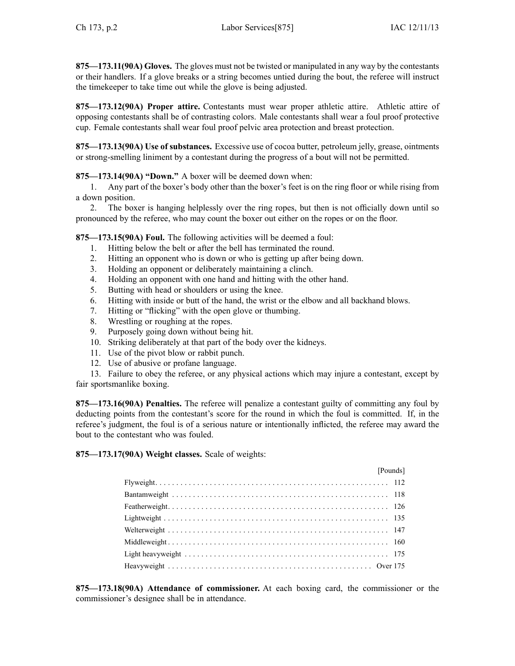**875—173.11(90A) Gloves.** The gloves must not be twisted or manipulated in any way by the contestants or their handlers. If <sup>a</sup> glove breaks or <sup>a</sup> string becomes untied during the bout, the referee will instruct the timekeeper to take time out while the glove is being adjusted.

**875—173.12(90A) Proper attire.** Contestants must wear proper athletic attire. Athletic attire of opposing contestants shall be of contrasting colors. Male contestants shall wear <sup>a</sup> foul proof protective cup. Female contestants shall wear foul proof pelvic area protection and breast protection.

**875—173.13(90A) Use of substances.** Excessive use of cocoa butter, petroleum jelly, grease, ointments or strong-smelling liniment by <sup>a</sup> contestant during the progress of <sup>a</sup> bout will not be permitted.

**875—173.14(90A) "Down."** A boxer will be deemed down when:

1. Any par<sup>t</sup> of the boxer's body other than the boxer's feet is on the ring floor or while rising from <sup>a</sup> down position.

2. The boxer is hanging helplessly over the ring ropes, but then is not officially down until so pronounced by the referee, who may count the boxer out either on the ropes or on the floor.

**875—173.15(90A) Foul.** The following activities will be deemed <sup>a</sup> foul:

- 1. Hitting below the belt or after the bell has terminated the round.
- 2. Hitting an opponen<sup>t</sup> who is down or who is getting up after being down.
- 3. Holding an opponen<sup>t</sup> or deliberately maintaining <sup>a</sup> clinch.
- 4. Holding an opponen<sup>t</sup> with one hand and hitting with the other hand.
- 5. Butting with head or shoulders or using the knee.
- 6. Hitting with inside or butt of the hand, the wrist or the elbow and all backhand blows.
- 7. Hitting or "flicking" with the open glove or thumbing.
- 8. Wrestling or roughing at the ropes.
- 9. Purposely going down without being hit.
- 10. Striking deliberately at that par<sup>t</sup> of the body over the kidneys.
- 11. Use of the pivot blow or rabbit punch.
- 12. Use of abusive or profane language.

13. Failure to obey the referee, or any physical actions which may injure <sup>a</sup> contestant, excep<sup>t</sup> by fair sportsmanlike boxing.

**875—173.16(90A) Penalties.** The referee will penalize <sup>a</sup> contestant guilty of committing any foul by deducting points from the contestant's score for the round in which the foul is committed. If, in the referee's judgment, the foul is of <sup>a</sup> serious nature or intentionally inflicted, the referee may award the bout to the contestant who was fouled.

**875—173.17(90A) Weight classes.** Scale of weights:

| [Pounds] |
|----------|
|          |
|          |
|          |
|          |
|          |
|          |
|          |
|          |

**875—173.18(90A) Attendance of commissioner.** At each boxing card, the commissioner or the commissioner's designee shall be in attendance.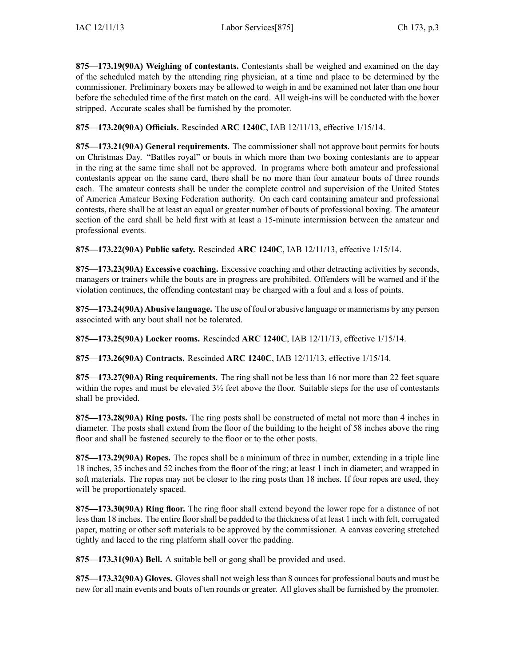**875—173.19(90A) Weighing of contestants.** Contestants shall be weighed and examined on the day of the scheduled match by the attending ring physician, at <sup>a</sup> time and place to be determined by the commissioner. Preliminary boxers may be allowed to weigh in and be examined not later than one hour before the scheduled time of the first match on the card. All weigh-ins will be conducted with the boxer stripped. Accurate scales shall be furnished by the promoter.

**875—173.20(90A) Officials.** Rescinded **ARC 1240C**, IAB 12/11/13, effective 1/15/14.

**875—173.21(90A) General requirements.** The commissioner shall not approve bout permits for bouts on Christmas Day. "Battles royal" or bouts in which more than two boxing contestants are to appear in the ring at the same time shall not be approved. In programs where both amateur and professional contestants appear on the same card, there shall be no more than four amateur bouts of three rounds each. The amateur contests shall be under the complete control and supervision of the United States of America Amateur Boxing Federation authority. On each card containing amateur and professional contests, there shall be at least an equal or greater number of bouts of professional boxing. The amateur section of the card shall be held first with at least <sup>a</sup> 15-minute intermission between the amateur and professional events.

**875—173.22(90A) Public safety.** Rescinded **ARC 1240C**, IAB 12/11/13, effective 1/15/14.

**875—173.23(90A) Excessive coaching.** Excessive coaching and other detracting activities by seconds, managers or trainers while the bouts are in progress are prohibited. Offenders will be warned and if the violation continues, the offending contestant may be charged with <sup>a</sup> foul and <sup>a</sup> loss of points.

**875—173.24(90A) Abusive language.** The use of foul or abusive language or mannerisms by any person associated with any bout shall not be tolerated.

**875—173.25(90A) Locker rooms.** Rescinded **ARC 1240C**, IAB 12/11/13, effective 1/15/14.

**875—173.26(90A) Contracts.** Rescinded **ARC 1240C**, IAB 12/11/13, effective 1/15/14.

**875—173.27(90A) Ring requirements.** The ring shall not be less than 16 nor more than 22 feet square within the ropes and must be elevated 3½ feet above the floor. Suitable steps for the use of contestants shall be provided.

**875—173.28(90A) Ring posts.** The ring posts shall be constructed of metal not more than 4 inches in diameter. The posts shall extend from the floor of the building to the height of 58 inches above the ring floor and shall be fastened securely to the floor or to the other posts.

**875—173.29(90A) Ropes.** The ropes shall be <sup>a</sup> minimum of three in number, extending in <sup>a</sup> triple line 18 inches, 35 inches and 52 inches from the floor of the ring; at least 1 inch in diameter; and wrapped in soft materials. The ropes may not be closer to the ring posts than 18 inches. If four ropes are used, they will be proportionately spaced.

**875—173.30(90A) Ring floor.** The ring floor shall extend beyond the lower rope for <sup>a</sup> distance of not lessthan 18 inches. The entire floorshall be padded to the thickness of at least 1 inch with felt, corrugated paper, matting or other soft materials to be approved by the commissioner. A canvas covering stretched tightly and laced to the ring platform shall cover the padding.

**875—173.31(90A) Bell.** A suitable bell or gong shall be provided and used.

875—173.32(90A) Gloves. Gloves shall not weigh less than 8 ounces for professional bouts and must be new for all main events and bouts of ten rounds or greater. All gloves shall be furnished by the promoter.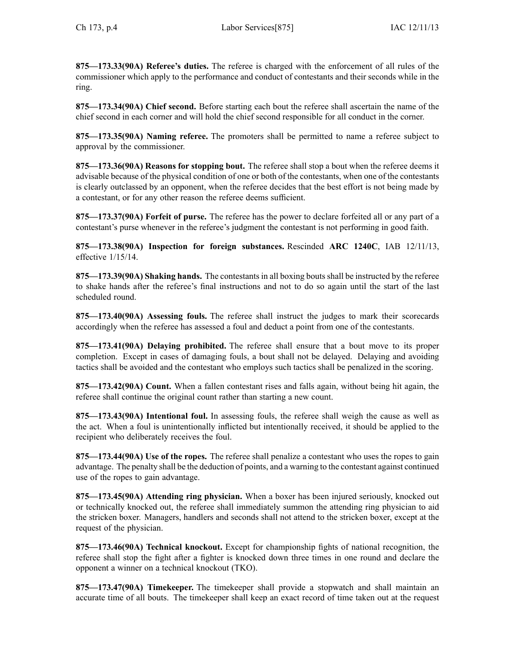**875—173.33(90A) Referee's duties.** The referee is charged with the enforcement of all rules of the commissioner which apply to the performance and conduct of contestants and their seconds while in the ring.

**875—173.34(90A) Chief second.** Before starting each bout the referee shall ascertain the name of the chief second in each corner and will hold the chief second responsible for all conduct in the corner.

**875—173.35(90A) Naming referee.** The promoters shall be permitted to name <sup>a</sup> referee subject to approval by the commissioner.

**875—173.36(90A) Reasons for stopping bout.** The referee shall stop <sup>a</sup> bout when the referee deems it advisable because of the physical condition of one or both of the contestants, when one of the contestants is clearly outclassed by an opponent, when the referee decides that the best effort is not being made by <sup>a</sup> contestant, or for any other reason the referee deems sufficient.

**875—173.37(90A) Forfeit of purse.** The referee has the power to declare forfeited all or any par<sup>t</sup> of <sup>a</sup> contestant's purse whenever in the referee's judgment the contestant is not performing in good faith.

**875—173.38(90A) Inspection for foreign substances.** Rescinded **ARC 1240C**, IAB 12/11/13, effective 1/15/14.

**875—173.39(90A) Shaking hands.** The contestantsin all boxing boutsshall be instructed by the referee to shake hands after the referee's final instructions and not to do so again until the start of the last scheduled round.

**875—173.40(90A) Assessing fouls.** The referee shall instruct the judges to mark their scorecards accordingly when the referee has assessed <sup>a</sup> foul and deduct <sup>a</sup> point from one of the contestants.

**875—173.41(90A) Delaying prohibited.** The referee shall ensure that <sup>a</sup> bout move to its proper completion. Except in cases of damaging fouls, <sup>a</sup> bout shall not be delayed. Delaying and avoiding tactics shall be avoided and the contestant who employs such tactics shall be penalized in the scoring.

**875—173.42(90A) Count.** When <sup>a</sup> fallen contestant rises and falls again, without being hit again, the referee shall continue the original count rather than starting <sup>a</sup> new count.

**875—173.43(90A) Intentional foul.** In assessing fouls, the referee shall weigh the cause as well as the act. When <sup>a</sup> foul is unintentionally inflicted but intentionally received, it should be applied to the recipient who deliberately receives the foul.

**875—173.44(90A) Use of the ropes.** The referee shall penalize <sup>a</sup> contestant who uses the ropes to gain advantage. The penalty shall be the deduction of points, and <sup>a</sup> warning to the contestant against continued use of the ropes to gain advantage.

**875—173.45(90A) Attending ring physician.** When <sup>a</sup> boxer has been injured seriously, knocked out or technically knocked out, the referee shall immediately summon the attending ring physician to aid the stricken boxer. Managers, handlers and seconds shall not attend to the stricken boxer, excep<sup>t</sup> at the reques<sup>t</sup> of the physician.

**875—173.46(90A) Technical knockout.** Except for championship fights of national recognition, the referee shall stop the fight after <sup>a</sup> fighter is knocked down three times in one round and declare the opponen<sup>t</sup> <sup>a</sup> winner on <sup>a</sup> technical knockout (TKO).

**875—173.47(90A) Timekeeper.** The timekeeper shall provide <sup>a</sup> stopwatch and shall maintain an accurate time of all bouts. The timekeeper shall keep an exact record of time taken out at the reques<sup>t</sup>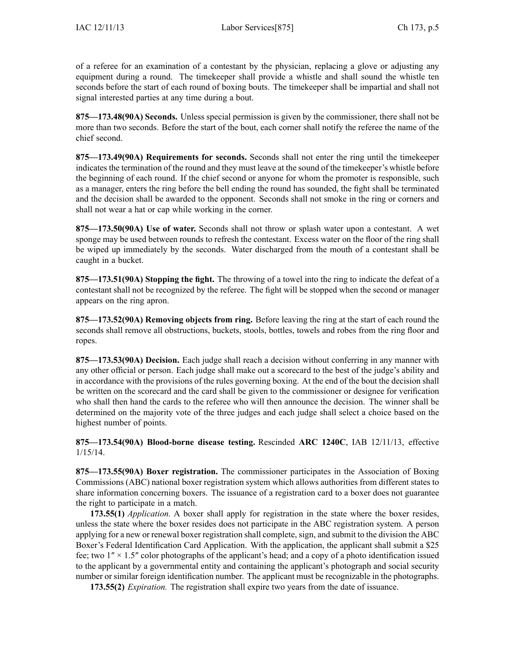of <sup>a</sup> referee for an examination of <sup>a</sup> contestant by the physician, replacing <sup>a</sup> glove or adjusting any equipment during <sup>a</sup> round. The timekeeper shall provide <sup>a</sup> whistle and shall sound the whistle ten seconds before the start of each round of boxing bouts. The timekeeper shall be impartial and shall not signal interested parties at any time during <sup>a</sup> bout.

**875—173.48(90A) Seconds.** Unless special permission is given by the commissioner, there shall not be more than two seconds. Before the start of the bout, each corner shall notify the referee the name of the chief second.

**875—173.49(90A) Requirements for seconds.** Seconds shall not enter the ring until the timekeeper indicates the termination of the round and they must leave at the sound of the timekeeper's whistle before the beginning of each round. If the chief second or anyone for whom the promoter is responsible, such as <sup>a</sup> manager, enters the ring before the bell ending the round has sounded, the fight shall be terminated and the decision shall be awarded to the opponent. Seconds shall not smoke in the ring or corners and shall not wear <sup>a</sup> hat or cap while working in the corner.

**875—173.50(90A) Use of water.** Seconds shall not throw or splash water upon <sup>a</sup> contestant. A wet sponge may be used between rounds to refresh the contestant. Excess water on the floor of the ring shall be wiped up immediately by the seconds. Water discharged from the mouth of <sup>a</sup> contestant shall be caught in <sup>a</sup> bucket.

**875—173.51(90A) Stopping the fight.** The throwing of <sup>a</sup> towel into the ring to indicate the defeat of <sup>a</sup> contestant shall not be recognized by the referee. The fight will be stopped when the second or manager appears on the ring apron.

**875—173.52(90A) Removing objects from ring.** Before leaving the ring at the start of each round the seconds shall remove all obstructions, buckets, stools, bottles, towels and robes from the ring floor and ropes.

**875—173.53(90A) Decision.** Each judge shall reach <sup>a</sup> decision without conferring in any manner with any other official or person. Each judge shall make out <sup>a</sup> scorecard to the best of the judge's ability and in accordance with the provisions of the rules governing boxing. At the end of the bout the decision shall be written on the scorecard and the card shall be given to the commissioner or designee for verification who shall then hand the cards to the referee who will then announce the decision. The winner shall be determined on the majority vote of the three judges and each judge shall select <sup>a</sup> choice based on the highest number of points.

**875—173.54(90A) Blood-borne disease testing.** Rescinded **ARC 1240C**, IAB 12/11/13, effective 1/15/14.

**875—173.55(90A) Boxer registration.** The commissioner participates in the Association of Boxing Commissions (ABC) national boxer registration system which allows authorities from different states to share information concerning boxers. The issuance of <sup>a</sup> registration card to <sup>a</sup> boxer does not guarantee the right to participate in <sup>a</sup> match.

**173.55(1)** *Application.* A boxer shall apply for registration in the state where the boxer resides, unless the state where the boxer resides does not participate in the ABC registration system. A person applying for <sup>a</sup> new or renewal boxer registration shall complete, sign, and submit to the division the ABC Boxer's Federal Identification Card Application. With the application, the applicant shall submit <sup>a</sup> \$25 fee; two  $1'' \times 1.5''$  color photographs of the applicant's head; and a copy of a photo identification issued to the applicant by <sup>a</sup> governmental entity and containing the applicant's photograph and social security number or similar foreign identification number. The applicant must be recognizable in the photographs.

**173.55(2)** *Expiration.* The registration shall expire two years from the date of issuance.